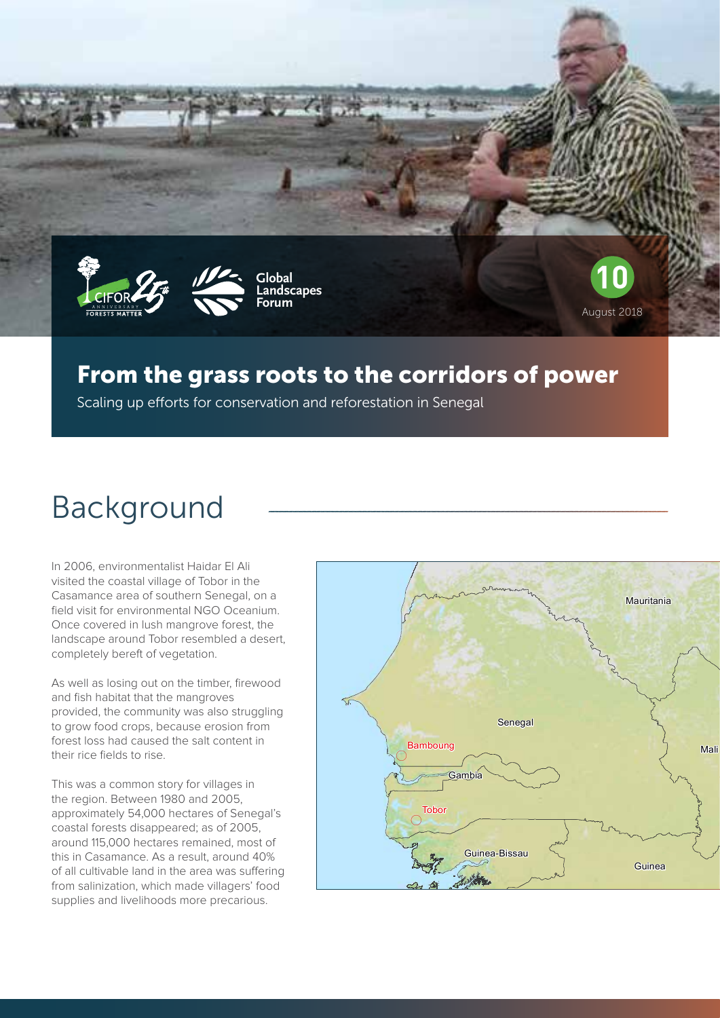



**Global Landscapes Forum**



## From the grass roots to the corridors of power

Scaling up efforts for conservation and reforestation in Senegal

# Background

In 2006, environmentalist Haidar El Ali visited the coastal village of Tobor in the Casamance area of southern Senegal, on a field visit for environmental NGO Oceanium. Once covered in lush mangrove forest, the landscape around Tobor resembled a desert, completely bereft of vegetation.

As well as losing out on the timber, firewood and fish habitat that the mangroves provided, the community was also struggling to grow food crops, because erosion from forest loss had caused the salt content in their rice fields to rise.

This was a common story for villages in the region. Between 1980 and 2005, approximately 54,000 hectares of Senegal's coastal forests disappeared; as of 2005, around 115,000 hectares remained, most of this in Casamance. As a result, around 40% of all cultivable land in the area was suffering from salinization, which made villagers' food supplies and livelihoods more precarious.

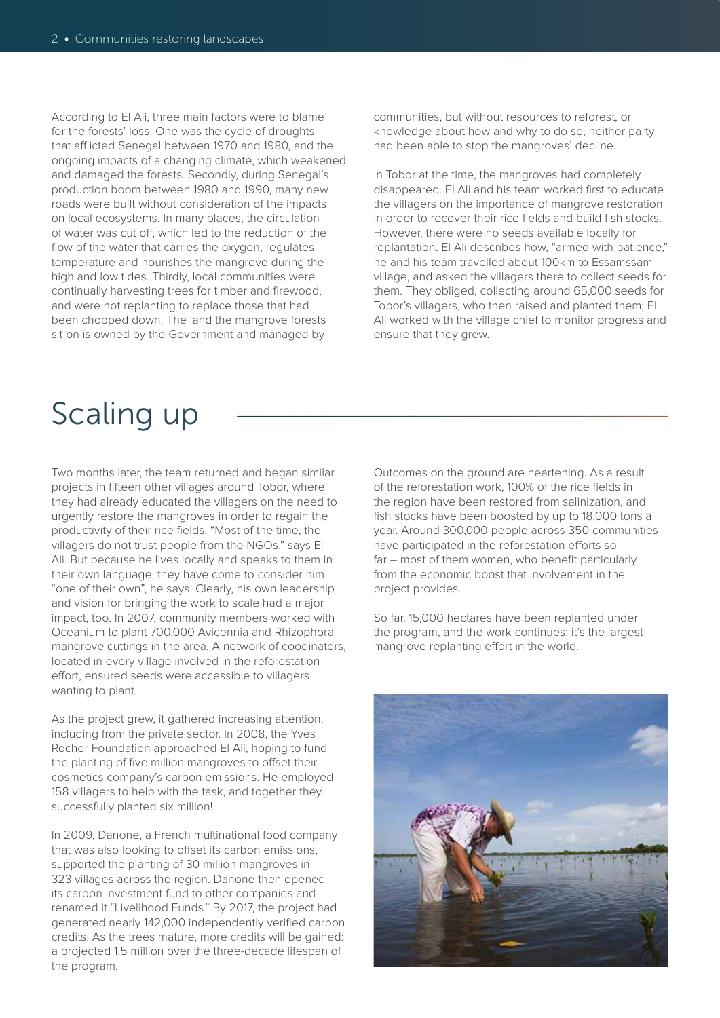According to El Ali, three main factors were to blame for the forests' loss. One was the cycle of droughts that afflicted Senegal between 1970 and 1980, and the ongoing impacts of a changing climate, which weakened and damaged the forests. Secondly, during Senegal's production boom between 1980 and 1990, many new roads were built without consideration of the impacts on local ecosystems. In many places, the circulation of water was cut off, which led to the reduction of the flow of the water that carries the oxygen, regulates temperature and nourishes the mangrove during the high and low tides. Thirdly, local communities were continually harvesting trees for timber and firewood, and were not replanting to replace those that had been chopped down. The land the mangrove forests sit on is owned by the Government and managed by

communities, but without resources to reforest, or knowledge about how and why to do so, neither party had been able to stop the mangroves' decline.

In Tobor at the time, the mangroves had completely disappeared. El Ali and his team worked first to educate the villagers on the importance of mangrove restoration in order to recover their rice fields and build fish stocks. However, there were no seeds available locally for replantation. El Ali describes how, "armed with patience," he and his team travelled about 100km to Essamssam village, and asked the villagers there to collect seeds for them. They obliged, collecting around 65,000 seeds for Tobor's villagers, who then raised and planted them; El Ali worked with the village chief to monitor progress and ensure that they grew.

# Scaling up

Two months later, the team returned and began similar projects in fifteen other villages around Tobor, where they had already educated the villagers on the need to urgently restore the mangroves in order to regain the productivity of their rice fields. "Most of the time, the villagers do not trust people from the NGOs," says El Ali. But because he lives locally and speaks to them in their own language, they have come to consider him "one of their own", he says. Clearly, his own leadership and vision for bringing the work to scale had a major impact, too. In 2007, community members worked with Oceanium to plant 700,000 Avicennia and Rhizophora mangrove cuttings in the area. A network of coodinators, located in every village involved in the reforestation effort, ensured seeds were accessible to villagers wanting to plant.

As the project grew, it gathered increasing attention, including from the private sector. In 2008, the Yves Rocher Foundation approached El Ali, hoping to fund the planting of five million mangroves to offset their cosmetics company's carbon emissions. He employed 158 villagers to help with the task, and together they successfully planted six million!

In 2009, Danone, a French multinational food company that was also looking to offset its carbon emissions, supported the planting of 30 million mangroves in 323 villages across the region. Danone then opened its carbon investment fund to other companies and renamed it "Livelihood Funds." By 2017, the project had generated nearly 142,000 independently verified carbon credits. As the trees mature, more credits will be gained: a projected 1.5 million over the three-decade lifespan of the program.

Outcomes on the ground are heartening. As a result of the reforestation work, 100% of the rice fields in the region have been restored from salinization, and fish stocks have been boosted by up to 18,000 tons a year. Around 300,000 people across 350 communities have participated in the reforestation efforts so far – most of them women, who benefit particularly from the economic boost that involvement in the project provides.

So far, 15,000 hectares have been replanted under the program, and the work continues: it's the largest mangrove replanting effort in the world.

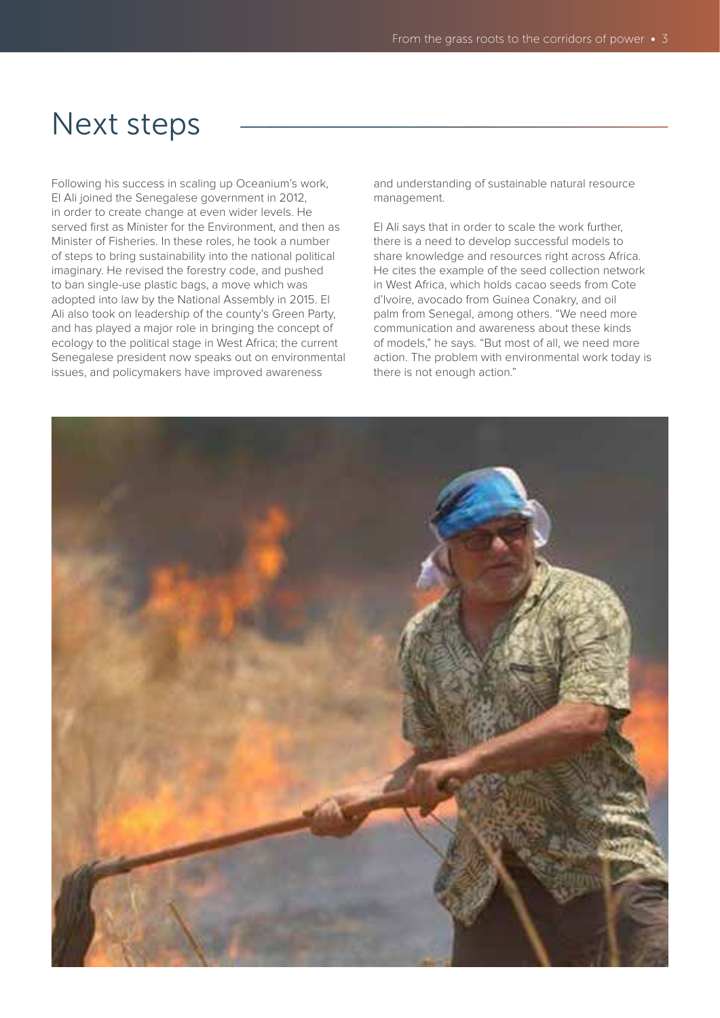## Next steps

Following his success in scaling up Oceanium's work, El Ali joined the Senegalese government in 2012, in order to create change at even wider levels. He served first as Minister for the Environment, and then as Minister of Fisheries. In these roles, he took a number of steps to bring sustainability into the national political imaginary. He revised the forestry code, and pushed to ban single-use plastic bags, a move which was adopted into law by the National Assembly in 2015. El Ali also took on leadership of the county's Green Party, and has played a major role in bringing the concept of ecology to the political stage in West Africa; the current Senegalese president now speaks out on environmental issues, and policymakers have improved awareness

and understanding of sustainable natural resource management.

El Ali says that in order to scale the work further, there is a need to develop successful models to share knowledge and resources right across Africa. He cites the example of the seed collection network in West Africa, which holds cacao seeds from Cote d'Ivoire, avocado from Guinea Conakry, and oil palm from Senegal, among others. "We need more communication and awareness about these kinds of models," he says. "But most of all, we need more action. The problem with environmental work today is there is not enough action."